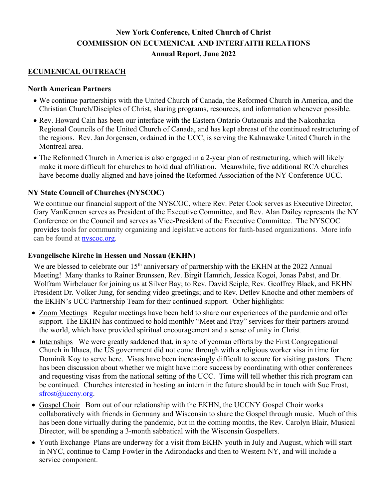# **New York Conference, United Church of Christ COMMISSION ON ECUMENICAL AND INTERFAITH RELATIONS Annual Report, June 2022**

## **ECUMENICAL OUTREACH**

#### **North American Partners**

- We continue partnerships with the United Church of Canada, the Reformed Church in America, and the Christian Church/Disciples of Christ, sharing programs, resources, and information whenever possible.
- Rev. Howard Cain has been our interface with the Eastern Ontario Outaouais and the Nakonha:ka Regional Councils of the United Church of Canada, and has kept abreast of the continued restructuring of the regions. Rev. Jan Jorgensen, ordained in the UCC, is serving the Kahnawake United Church in the Montreal area.
- The Reformed Church in America is also engaged in a 2-year plan of restructuring, which will likely make it more difficult for churches to hold dual affiliation. Meanwhile, five additional RCA churches have become dually aligned and have joined the Reformed Association of the NY Conference UCC.

## **NY State Council of Churches (NYSCOC)**

We continue our financial support of the NYSCOC, where Rev. Peter Cook serves as Executive Director, Gary VanKennen serves as President of the Executive Committee, and Rev. Alan Dailey represents the NY Conference on the Council and serves as Vice-President of the Executive Committee. The NYSCOC provides tools for community organizing and legislative actions for faith-based organizations. More info can be found at nyscoc.org.

## **Evangelische Kirche in Hessen und Nassau (EKHN)**

We are blessed to celebrate our 15<sup>th</sup> anniversary of partnership with the EKHN at the 2022 Annual Meeting! Many thanks to Rainer Brunssen, Rev. Birgit Hamrich, Jessica Kogoi, Jonas Pabst, and Dr. Wolfram Wirbelauer for joining us at Silver Bay; to Rev. David Seiple, Rev. Geoffrey Black, and EKHN President Dr. Volker Jung, for sending video greetings; and to Rev. Detlev Knoche and other members of the EKHN's UCC Partnership Team for their continued support. Other highlights:

- Zoom Meetings Regular meetings have been held to share our experiences of the pandemic and offer support. The EKHN has continued to hold monthly "Meet and Pray" services for their partners around the world, which have provided spiritual encouragement and a sense of unity in Christ.
- Internships We were greatly saddened that, in spite of yeoman efforts by the First Congregational Church in Ithaca, the US government did not come through with a religious worker visa in time for Dominik Koy to serve here. Visas have been increasingly difficult to secure for visiting pastors. There has been discussion about whether we might have more success by coordinating with other conferences and requesting visas from the national setting of the UCC. Time will tell whether this rich program can be continued. Churches interested in hosting an intern in the future should be in touch with Sue Frost, sfrost@uccny.org.
- Gospel Choir Born out of our relationship with the EKHN, the UCCNY Gospel Choir works collaboratively with friends in Germany and Wisconsin to share the Gospel through music. Much of this has been done virtually during the pandemic, but in the coming months, the Rev. Carolyn Blair, Musical Director, will be spending a 3-month sabbatical with the Wisconsin Gospellers.
- Youth Exchange Plans are underway for a visit from EKHN youth in July and August, which will start in NYC, continue to Camp Fowler in the Adirondacks and then to Western NY, and will include a service component.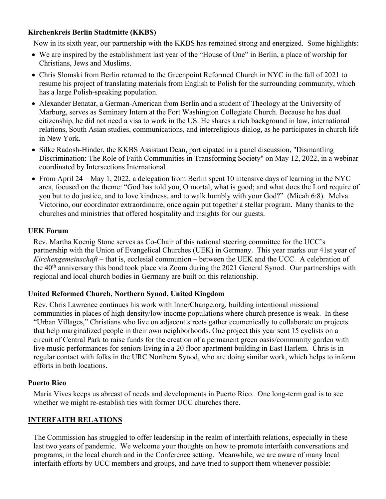## **Kirchenkreis Berlin Stadtmitte (KKBS)**

Now in its sixth year, our partnership with the KKBS has remained strong and energized. Some highlights:

- We are inspired by the establishment last year of the "House of One" in Berlin, a place of worship for Christians, Jews and Muslims.
- Chris Slomski from Berlin returned to the Greenpoint Reformed Church in NYC in the fall of 2021 to resume his project of translating materials from English to Polish for the surrounding community, which has a large Polish-speaking population.
- Alexander Benatar, a German-American from Berlin and a student of Theology at the University of Marburg, serves as Seminary Intern at the Fort Washington Collegiate Church. Because he has dual citizenship, he did not need a visa to work in the US. He shares a rich background in law, international relations, South Asian studies, communications, and interreligious dialog, as he participates in church life in New York.
- Silke Radosh-Hinder, the KKBS Assistant Dean, participated in a panel discussion, "Dismantling Discrimination: The Role of Faith Communities in Transforming Society" on May 12, 2022, in a webinar coordinated by Intersections International.
- From April 24 May 1, 2022, a delegation from Berlin spent 10 intensive days of learning in the NYC area, focused on the theme: "God has told you, O mortal, what is good; and what does the Lord require of you but to do justice, and to love kindness, and to walk humbly with your God?" (Micah 6:8). Melva Victorino, our coordinator extraordinaire, once again put together a stellar program. Many thanks to the churches and ministries that offered hospitality and insights for our guests.

## **UEK Forum**

Rev. Martha Koenig Stone serves as Co-Chair of this national steering committee for the UCC's partnership with the Union of Evangelical Churches (UEK) in Germany. This year marks our 41st year of *Kirchengemeinschaft* – that is, ecclesial communion – between the UEK and the UCC. A celebration of the 40<sup>th</sup> anniversary this bond took place via Zoom during the 2021 General Synod. Our partnerships with regional and local church bodies in Germany are built on this relationship.

## **United Reformed Church, Northern Synod, United Kingdom**

Rev. Chris Lawrence continues his work with InnerChange.org, building intentional missional communities in places of high density/low income populations where church presence is weak. In these "Urban Villages," Christians who live on adjacent streets gather ecumenically to collaborate on projects that help marginalized people in their own neighborhoods. One project this year sent 15 cyclists on a circuit of Central Park to raise funds for the creation of a permanent green oasis/community garden with live music performances for seniors living in a 20 floor apartment building in East Harlem. Chris is in regular contact with folks in the URC Northern Synod, who are doing similar work, which helps to inform efforts in both locations.

## **Puerto Rico**

Maria Vives keeps us abreast of needs and developments in Puerto Rico. One long-term goal is to see whether we might re-establish ties with former UCC churches there.

## **INTERFAITH RELATIONS**

The Commission has struggled to offer leadership in the realm of interfaith relations, especially in these last two years of pandemic. We welcome your thoughts on how to promote interfaith conversations and programs, in the local church and in the Conference setting. Meanwhile, we are aware of many local interfaith efforts by UCC members and groups, and have tried to support them whenever possible: